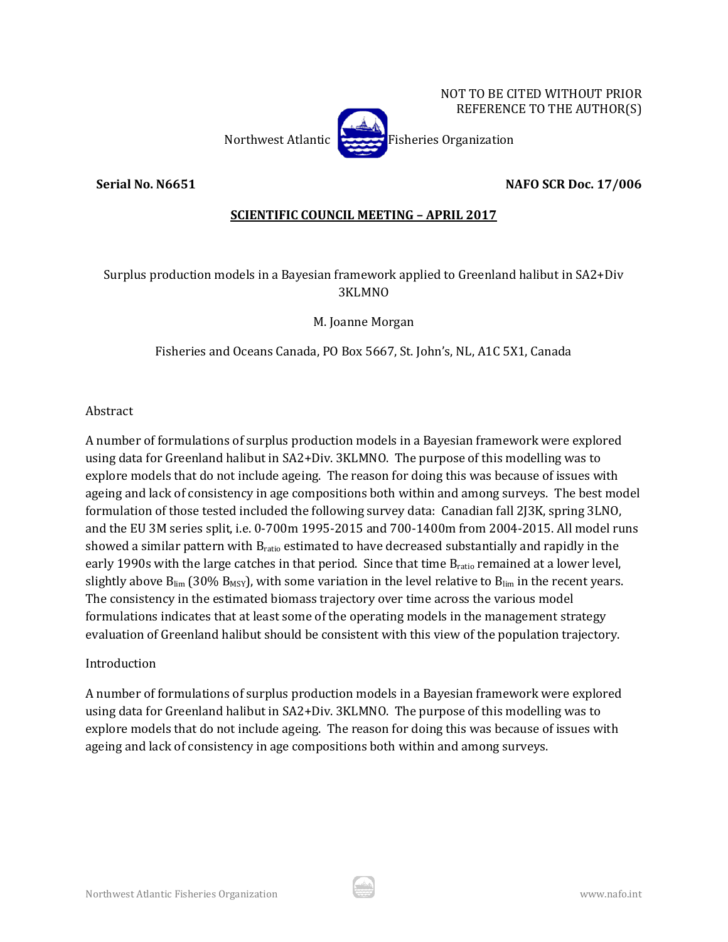

**Serial No. N6651 NAFO SCR Doc. 17/006**

# **SCIENTIFIC COUNCIL MEETING – APRIL 2017**

Surplus production models in a Bayesian framework applied to Greenland halibut in SA2+Div 3KLMNO

M. Joanne Morgan

Fisheries and Oceans Canada, PO Box 5667, St. John's, NL, A1C 5X1, Canada

Abstract

A number of formulations of surplus production models in a Bayesian framework were explored using data for Greenland halibut in SA2+Div. 3KLMNO. The purpose of this modelling was to explore models that do not include ageing. The reason for doing this was because of issues with ageing and lack of consistency in age compositions both within and among surveys. The best model formulation of those tested included the following survey data: Canadian fall 2J3K, spring 3LNO, and the EU 3M series split, i.e. 0-700m 1995-2015 and 700-1400m from 2004-2015. All model runs showed a similar pattern with  $B<sub>ratio</sub>$  estimated to have decreased substantially and rapidly in the early 1990s with the large catches in that period. Since that time  $B_{ratio}$  remained at a lower level, slightly above  $B_{lim}$  (30%  $B_{MSY}$ ), with some variation in the level relative to  $B_{lim}$  in the recent years. The consistency in the estimated biomass trajectory over time across the various model formulations indicates that at least some of the operating models in the management strategy evaluation of Greenland halibut should be consistent with this view of the population trajectory.

# **Introduction**

A number of formulations of surplus production models in a Bayesian framework were explored using data for Greenland halibut in SA2+Div. 3KLMNO. The purpose of this modelling was to explore models that do not include ageing. The reason for doing this was because of issues with ageing and lack of consistency in age compositions both within and among surveys.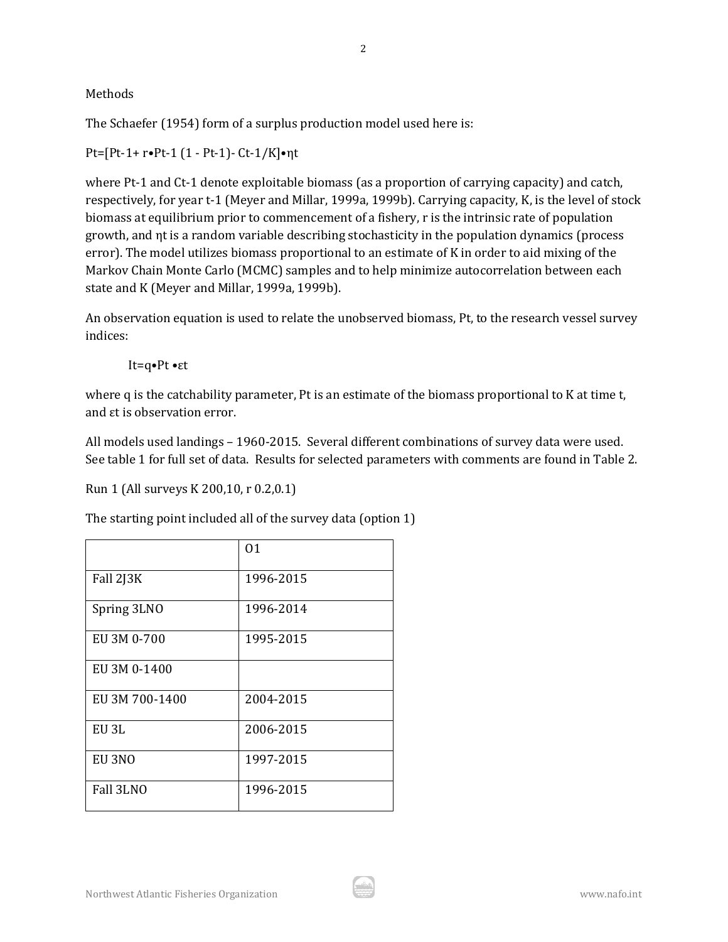Methods

The Schaefer (1954) form of a surplus production model used here is:

Pt=[Pt-1+ r•Pt-1 (1 - Pt-1)- Ct-1/K]•ηt

where Pt-1 and Ct-1 denote exploitable biomass (as a proportion of carrying capacity) and catch, respectively, for year t-1 (Meyer and Millar, 1999a, 1999b). Carrying capacity, K, is the level of stock biomass at equilibrium prior to commencement of a fishery, r is the intrinsic rate of population growth, and ηt is a random variable describing stochasticity in the population dynamics (process error). The model utilizes biomass proportional to an estimate of K in order to aid mixing of the Markov Chain Monte Carlo (MCMC) samples and to help minimize autocorrelation between each state and K (Meyer and Millar, 1999a, 1999b).

An observation equation is used to relate the unobserved biomass, Pt, to the research vessel survey indices:

It=q•Pt •εt

where q is the catchability parameter, Pt is an estimate of the biomass proportional to K at time t, and εt is observation error.

All models used landings – 1960-2015. Several different combinations of survey data were used. See table 1 for full set of data. Results for selected parameters with comments are found in Table 2.

Run 1 (All surveys K 200,10, r 0.2,0.1)

The starting point included all of the survey data (option 1)

|                | 01        |
|----------------|-----------|
| Fall 2J3K      | 1996-2015 |
| Spring 3LNO    | 1996-2014 |
| EU 3M 0-700    | 1995-2015 |
| EU 3M 0-1400   |           |
| EU 3M 700-1400 | 2004-2015 |
| EU 3L          | 2006-2015 |
| EU 3NO         | 1997-2015 |
| Fall 3LNO      | 1996-2015 |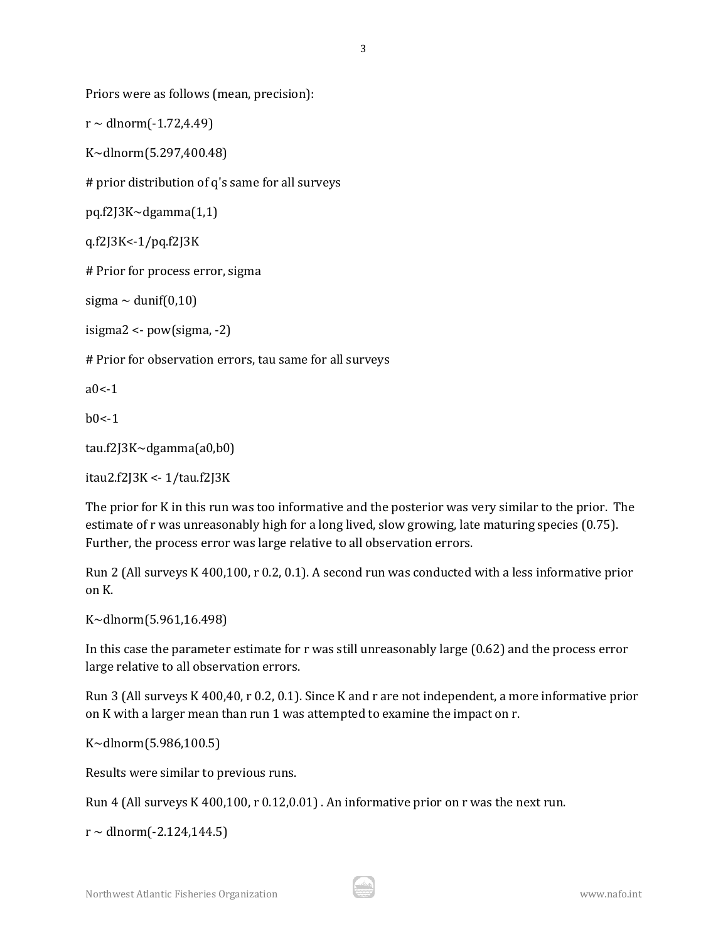Priors were as follows (mean, precision):

 $r \sim$  dlnorm $(-1.72, 4.49)$ 

K~dlnorm(5.297,400.48)

# prior distribution of q's same for all surveys

pq.f2J3K~dgamma(1,1)

q.f2J3K<-1/pq.f2J3K

# Prior for process error, sigma

sigma  $\sim$  dunif(0,10)

isigma2 <- pow(sigma, -2)

# Prior for observation errors, tau same for all surveys

 $a0 - 1$ 

 $h0<-1$ 

```
tau.f2J3K~dgamma(a0,b0)
```
itau2.f2J3K <- 1/tau.f2J3K

The prior for K in this run was too informative and the posterior was very similar to the prior. The estimate of r was unreasonably high for a long lived, slow growing, late maturing species (0.75). Further, the process error was large relative to all observation errors.

Run 2 (All surveys K 400,100, r 0.2, 0.1). A second run was conducted with a less informative prior on K.

K~dlnorm(5.961,16.498)

In this case the parameter estimate for r was still unreasonably large (0.62) and the process error large relative to all observation errors.

Run 3 (All surveys K 400,40, r 0.2, 0.1). Since K and r are not independent, a more informative prior on K with a larger mean than run 1 was attempted to examine the impact on r.

K~dlnorm(5.986,100.5)

Results were similar to previous runs.

Run 4 (All surveys K 400,100, r 0.12,0.01) . An informative prior on r was the next run.

 $r \sim$  dlnorm $(-2.124, 144.5)$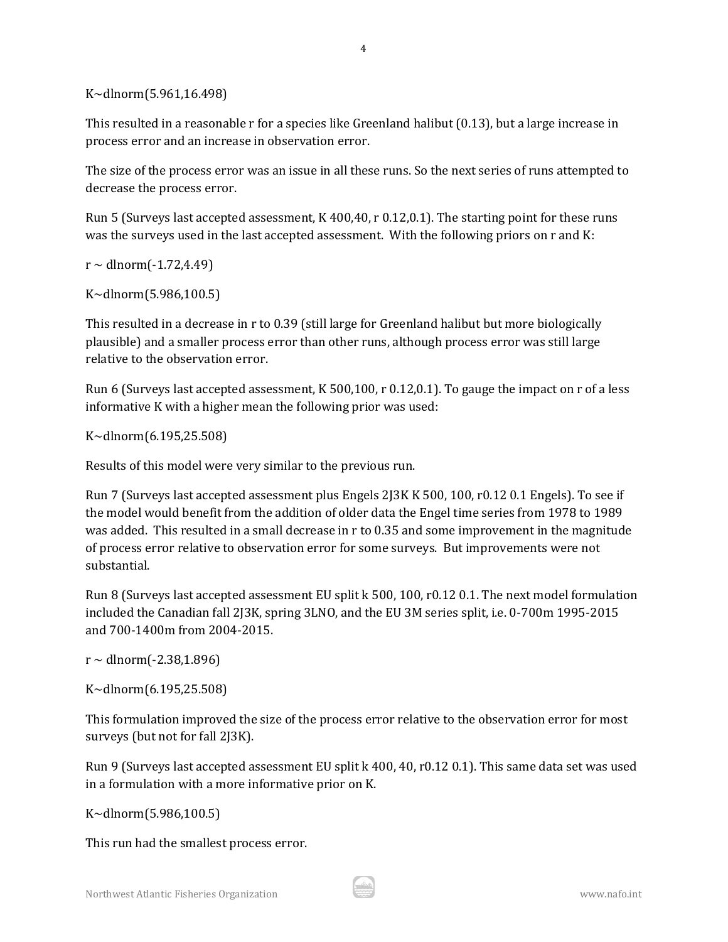K~dlnorm(5.961,16.498)

This resulted in a reasonable r for a species like Greenland halibut (0.13), but a large increase in process error and an increase in observation error.

The size of the process error was an issue in all these runs. So the next series of runs attempted to decrease the process error.

Run 5 (Surveys last accepted assessment, K 400,40, r 0.12,0.1). The starting point for these runs was the surveys used in the last accepted assessment. With the following priors on r and K:

 $r \sim$  dlnorm $(-1.72, 4.49)$ 

K~dlnorm(5.986,100.5)

This resulted in a decrease in r to 0.39 (still large for Greenland halibut but more biologically plausible) and a smaller process error than other runs, although process error was still large relative to the observation error.

Run 6 (Surveys last accepted assessment, K 500,100, r 0.12,0.1). To gauge the impact on r of a less informative K with a higher mean the following prior was used:

K~dlnorm(6.195,25.508)

Results of this model were very similar to the previous run.

Run 7 (Surveys last accepted assessment plus Engels 2J3K K 500, 100, r0.12 0.1 Engels). To see if the model would benefit from the addition of older data the Engel time series from 1978 to 1989 was added. This resulted in a small decrease in r to 0.35 and some improvement in the magnitude of process error relative to observation error for some surveys. But improvements were not substantial.

Run 8 (Surveys last accepted assessment EU split k 500, 100, r0.12 0.1. The next model formulation included the Canadian fall 2J3K, spring 3LNO, and the EU 3M series split, i.e. 0-700m 1995-2015 and 700-1400m from 2004-2015.

 $r \sim$  dlnorm $(-2.38, 1.896)$ 

K~dlnorm(6.195,25.508)

This formulation improved the size of the process error relative to the observation error for most surveys (but not for fall 2J3K).

Run 9 (Surveys last accepted assessment EU split k 400, 40, r0.12 0.1). This same data set was used in a formulation with a more informative prior on K.

K~dlnorm(5.986,100.5)

This run had the smallest process error.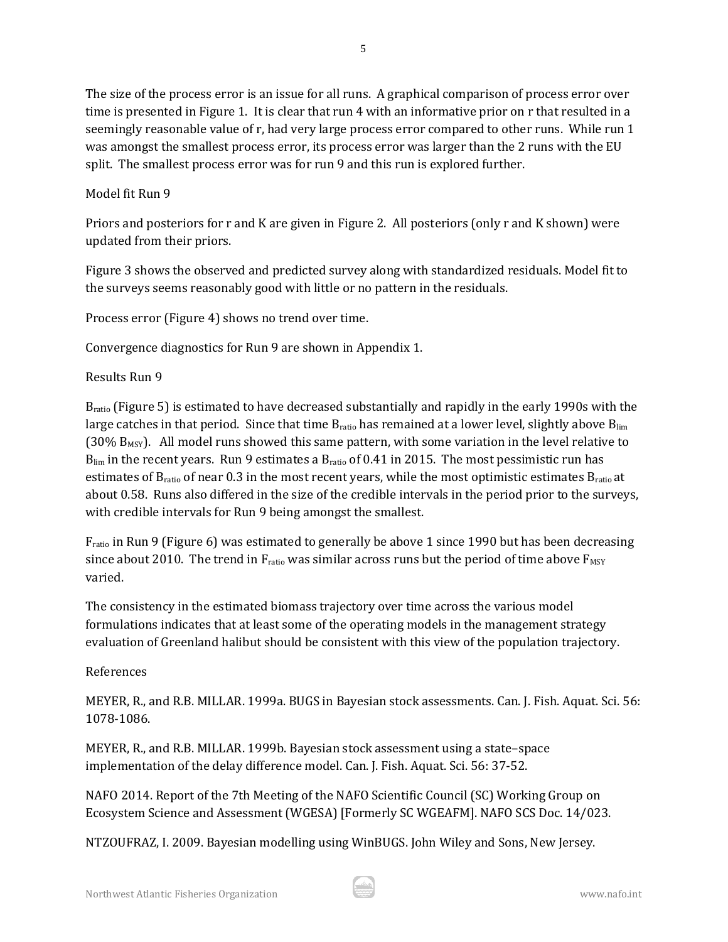The size of the process error is an issue for all runs. A graphical comparison of process error over time is presented in Figure 1. It is clear that run 4 with an informative prior on r that resulted in a seemingly reasonable value of r, had very large process error compared to other runs. While run 1 was amongst the smallest process error, its process error was larger than the 2 runs with the EU split. The smallest process error was for run 9 and this run is explored further.

# Model fit Run 9

Priors and posteriors for r and K are given in Figure 2. All posteriors (only r and K shown) were updated from their priors.

Figure 3 shows the observed and predicted survey along with standardized residuals. Model fit to the surveys seems reasonably good with little or no pattern in the residuals.

Process error (Figure 4) shows no trend over time.

Convergence diagnostics for Run 9 are shown in Appendix 1.

# Results Run 9

Bratio (Figure 5) is estimated to have decreased substantially and rapidly in the early 1990s with the large catches in that period. Since that time B<sub>ratio</sub> has remained at a lower level, slightly above B<sub>lim</sub>  $(30\% B_{MSY})$ . All model runs showed this same pattern, with some variation in the level relative to  $B_{\text{lim}}$  in the recent years. Run 9 estimates a  $B_{\text{ratio}}$  of 0.41 in 2015. The most pessimistic run has estimates of B<sub>ratio</sub> of near 0.3 in the most recent years, while the most optimistic estimates B<sub>ratio</sub> at about 0.58. Runs also differed in the size of the credible intervals in the period prior to the surveys, with credible intervals for Run 9 being amongst the smallest.

Fratio in Run 9 (Figure 6) was estimated to generally be above 1 since 1990 but has been decreasing since about 2010. The trend in  $F_{ratio}$  was similar across runs but the period of time above  $F_{MSY}$ varied.

The consistency in the estimated biomass trajectory over time across the various model formulations indicates that at least some of the operating models in the management strategy evaluation of Greenland halibut should be consistent with this view of the population trajectory.

# References

MEYER, R., and R.B. MILLAR. 1999a. BUGS in Bayesian stock assessments. Can. J. Fish. Aquat. Sci. 56: 1078-1086.

MEYER, R., and R.B. MILLAR. 1999b. Bayesian stock assessment using a state–space implementation of the delay difference model. Can. J. Fish. Aquat. Sci. 56: 37-52.

NAFO 2014. Report of the 7th Meeting of the NAFO Scientific Council (SC) Working Group on Ecosystem Science and Assessment (WGESA) [Formerly SC WGEAFM]. NAFO SCS Doc. 14/023.

NTZOUFRAZ, I. 2009. Bayesian modelling using WinBUGS. John Wiley and Sons, New Jersey.

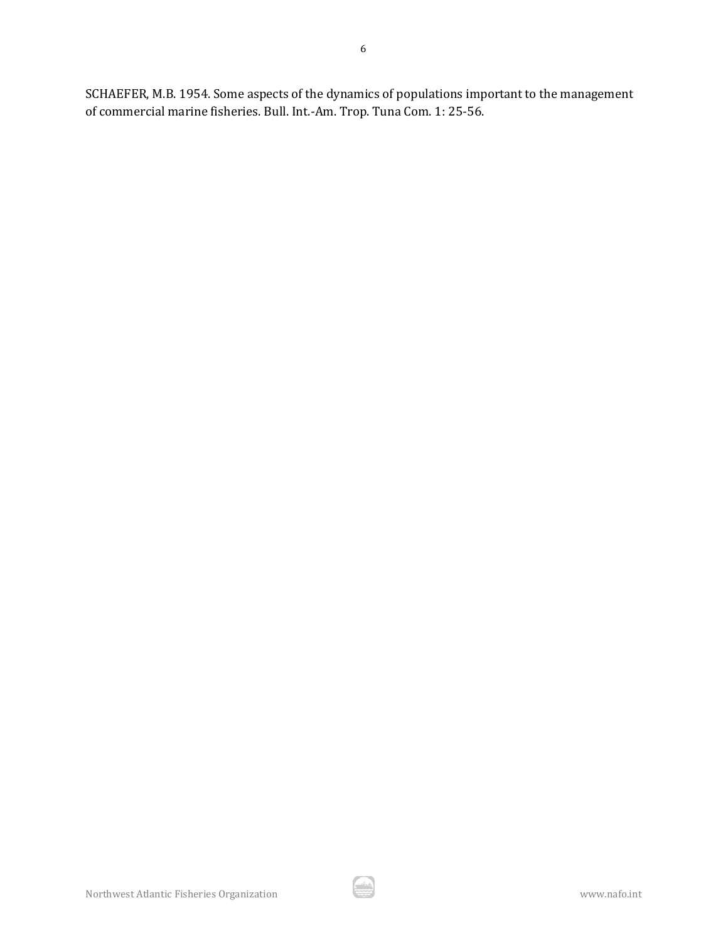SCHAEFER, M.B. 1954. Some aspects of the dynamics of populations important to the management of commercial marine fisheries. Bull. Int.-Am. Trop. Tuna Com. 1: 25-56.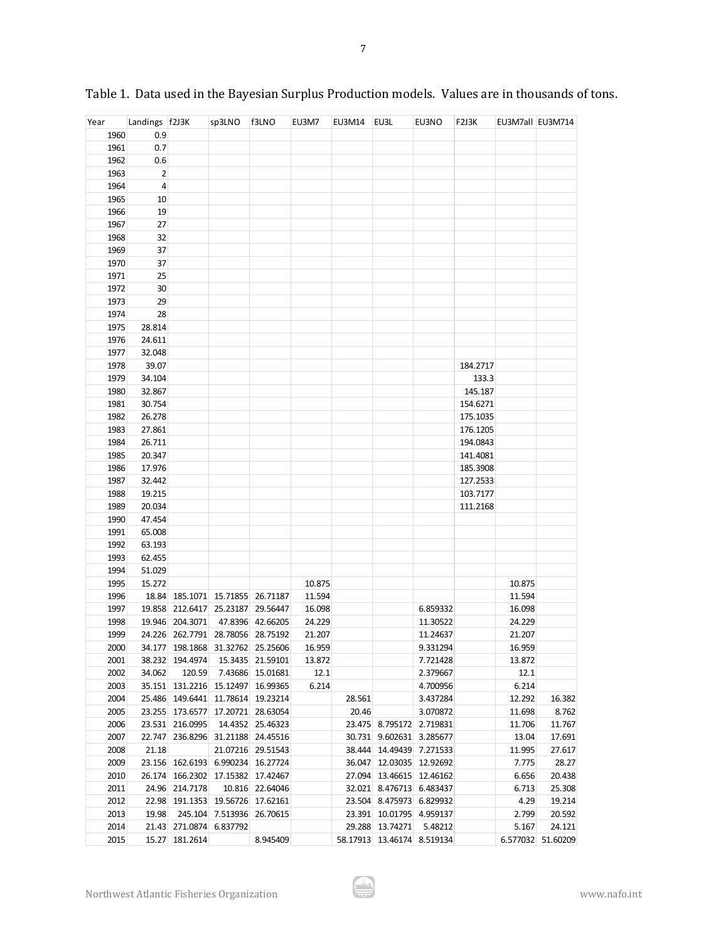| Year | Landings f2J3K |                                   | sp3LNO                    | f3LNO             | EU3M7  | EU3M14 EU3L |                            | EU3NO    | F2J3K    | EU3M7all EU3M714 |                   |
|------|----------------|-----------------------------------|---------------------------|-------------------|--------|-------------|----------------------------|----------|----------|------------------|-------------------|
| 1960 | 0.9            |                                   |                           |                   |        |             |                            |          |          |                  |                   |
| 1961 | 0.7            |                                   |                           |                   |        |             |                            |          |          |                  |                   |
| 1962 | 0.6            |                                   |                           |                   |        |             |                            |          |          |                  |                   |
| 1963 | $\overline{2}$ |                                   |                           |                   |        |             |                            |          |          |                  |                   |
| 1964 | $\overline{4}$ |                                   |                           |                   |        |             |                            |          |          |                  |                   |
| 1965 | 10             |                                   |                           |                   |        |             |                            |          |          |                  |                   |
| 1966 | 19             |                                   |                           |                   |        |             |                            |          |          |                  |                   |
| 1967 | 27             |                                   |                           |                   |        |             |                            |          |          |                  |                   |
| 1968 | 32             |                                   |                           |                   |        |             |                            |          |          |                  |                   |
| 1969 | 37             |                                   |                           |                   |        |             |                            |          |          |                  |                   |
| 1970 | 37             |                                   |                           |                   |        |             |                            |          |          |                  |                   |
| 1971 | 25             |                                   |                           |                   |        |             |                            |          |          |                  |                   |
| 1972 | 30             |                                   |                           |                   |        |             |                            |          |          |                  |                   |
| 1973 | 29             |                                   |                           |                   |        |             |                            |          |          |                  |                   |
|      | 28             |                                   |                           |                   |        |             |                            |          |          |                  |                   |
| 1974 |                |                                   |                           |                   |        |             |                            |          |          |                  |                   |
| 1975 | 28.814         |                                   |                           |                   |        |             |                            |          |          |                  |                   |
| 1976 | 24.611         |                                   |                           |                   |        |             |                            |          |          |                  |                   |
| 1977 | 32.048         |                                   |                           |                   |        |             |                            |          |          |                  |                   |
| 1978 | 39.07          |                                   |                           |                   |        |             |                            |          | 184.2717 |                  |                   |
| 1979 | 34.104         |                                   |                           |                   |        |             |                            |          | 133.3    |                  |                   |
| 1980 | 32.867         |                                   |                           |                   |        |             |                            |          | 145.187  |                  |                   |
| 1981 | 30.754         |                                   |                           |                   |        |             |                            |          | 154.6271 |                  |                   |
| 1982 | 26.278         |                                   |                           |                   |        |             |                            |          | 175.1035 |                  |                   |
| 1983 | 27.861         |                                   |                           |                   |        |             |                            |          | 176.1205 |                  |                   |
| 1984 | 26.711         |                                   |                           |                   |        |             |                            |          | 194.0843 |                  |                   |
| 1985 | 20.347         |                                   |                           |                   |        |             |                            |          | 141.4081 |                  |                   |
| 1986 | 17.976         |                                   |                           |                   |        |             |                            |          | 185.3908 |                  |                   |
| 1987 | 32.442         |                                   |                           |                   |        |             |                            |          | 127.2533 |                  |                   |
| 1988 | 19.215         |                                   |                           |                   |        |             |                            |          | 103.7177 |                  |                   |
| 1989 | 20.034         |                                   |                           |                   |        |             |                            |          | 111.2168 |                  |                   |
| 1990 | 47.454         |                                   |                           |                   |        |             |                            |          |          |                  |                   |
| 1991 | 65.008         |                                   |                           |                   |        |             |                            |          |          |                  |                   |
| 1992 | 63.193         |                                   |                           |                   |        |             |                            |          |          |                  |                   |
| 1993 | 62.455         |                                   |                           |                   |        |             |                            |          |          |                  |                   |
| 1994 | 51.029         |                                   |                           |                   |        |             |                            |          |          |                  |                   |
| 1995 | 15.272         |                                   |                           |                   | 10.875 |             |                            |          |          | 10.875           |                   |
| 1996 |                | 18.84 185.1071 15.71855 26.71187  |                           |                   | 11.594 |             |                            |          |          | 11.594           |                   |
| 1997 |                | 19.858 212.6417 25.23187          |                           | 29.56447          | 16.098 |             |                            | 6.859332 |          | 16.098           |                   |
| 1998 |                | 19.946 204.3071                   |                           | 47.8396 42.66205  | 24.229 |             |                            | 11.30522 |          | 24.229           |                   |
| 1999 |                | 24.226 262.7791 28.78056 28.75192 |                           |                   | 21.207 |             |                            | 11.24637 |          | 21.207           |                   |
| 2000 |                | 34.177 198.1868 31.32762 25.25606 |                           |                   | 16.959 |             |                            | 9.331294 |          | 16.959           |                   |
| 2001 |                | 38.232 194.4974                   |                           | 15.3435 21.59101  | 13.872 |             |                            | 7.721428 |          | 13.872           |                   |
| 2002 | 34.062         | 120.59                            |                           | 7.43686 15.01681  | 12.1   |             |                            | 2.379667 |          | 12.1             |                   |
| 2003 |                | 35.151 131.2216 15.12497 16.99365 |                           |                   | 6.214  |             |                            | 4.700956 |          | 6.214            |                   |
| 2004 |                | 25.486 149.6441 11.78614 19.23214 |                           |                   |        | 28.561      |                            | 3.437284 |          | 12.292           | 16.382            |
| 2005 |                | 23.255 173.6577                   | 17.20721                  | 28.63054          |        | 20.46       |                            | 3.070872 |          | 11.698           | 8.762             |
| 2006 |                | 23.531 216.0995                   |                           | 14.4352 25.46323  |        |             | 23.475 8.795172 2.719831   |          |          | 11.706           | 11.767            |
| 2007 |                | 22.747 236.8296 31.21188 24.45516 |                           |                   |        |             | 30.731 9.602631 3.285677   |          |          | 13.04            | 17.691            |
| 2008 | 21.18          |                                   |                           | 21.07216 29.51543 |        |             | 38.444 14.49439 7.271533   |          |          | 11.995           | 27.617            |
| 2009 |                | 23.156 162.6193 6.990234          |                           | 16.27724          |        |             | 36.047 12.03035 12.92692   |          |          | 7.775            | 28.27             |
| 2010 |                | 26.174 166.2302 17.15382          |                           | 17.42467          |        |             | 27.094 13.46615 12.46162   |          |          | 6.656            | 20.438            |
| 2011 |                | 24.96 214.7178                    | 10.816                    | 22.64046          |        |             | 32.021 8.476713 6.483437   |          |          | 6.713            | 25.308            |
| 2012 |                | 22.98 191.1353 19.56726 17.62161  |                           |                   |        |             | 23.504 8.475973 6.829932   |          |          | 4.29             | 19.214            |
| 2013 | 19.98          |                                   | 245.104 7.513936 26.70615 |                   |        |             | 23.391 10.01795 4.959137   |          |          | 2.799            | 20.592            |
| 2014 |                | 21.43 271.0874 6.837792           |                           |                   |        |             | 29.288 13.74271 5.48212    |          |          | 5.167            | 24.121            |
| 2015 |                | 15.27 181.2614                    |                           | 8.945409          |        |             | 58.17913 13.46174 8.519134 |          |          |                  | 6.577032 51.60209 |

Table 1. Data used in the Bayesian Surplus Production models. Values are in thousands of tons.

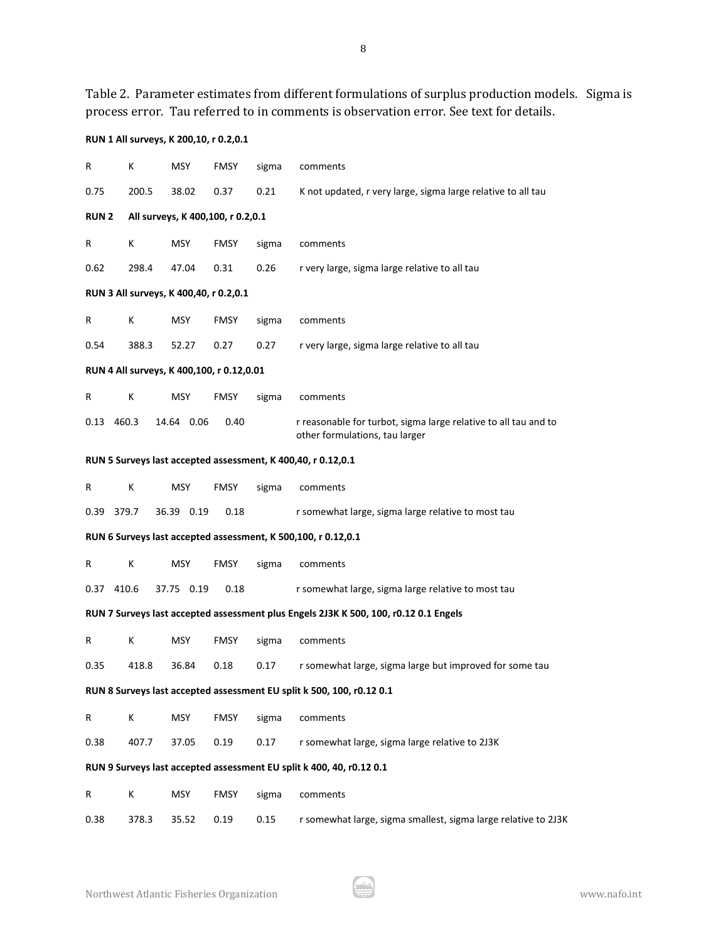Table 2. Parameter estimates from different formulations of surplus production models. Sigma is process error. Tau referred to in comments is observation error. See text for details.

# **RUN 1 All surveys, K 200,10, r 0.2,0.1**

| R           | Κ                                         | MSY        | <b>FMSY</b>                       | sigma | comments                                                                                          |
|-------------|-------------------------------------------|------------|-----------------------------------|-------|---------------------------------------------------------------------------------------------------|
| 0.75        | 200.5                                     | 38.02      | 0.37                              | 0.21  | K not updated, r very large, sigma large relative to all tau                                      |
| <b>RUN2</b> |                                           |            | All surveys, K 400,100, r 0.2,0.1 |       |                                                                                                   |
| R           | Κ                                         | <b>MSY</b> | <b>FMSY</b>                       | sigma | comments                                                                                          |
| 0.62        | 298.4                                     | 47.04      | 0.31                              | 0.26  | r very large, sigma large relative to all tau                                                     |
|             | RUN 3 All surveys, K 400,40, r 0.2,0.1    |            |                                   |       |                                                                                                   |
| R           | K                                         | <b>MSY</b> | <b>FMSY</b>                       | sigma | comments                                                                                          |
| 0.54        | 388.3                                     | 52.27      | 0.27                              | 0.27  | r very large, sigma large relative to all tau                                                     |
|             | RUN 4 All surveys, K 400,100, r 0.12,0.01 |            |                                   |       |                                                                                                   |
| R           | Κ                                         | MSY        | <b>FMSY</b>                       | sigma | comments                                                                                          |
| 0.13        | 460.3                                     | 14.64 0.06 | 0.40                              |       | r reasonable for turbot, sigma large relative to all tau and to<br>other formulations, tau larger |
|             |                                           |            |                                   |       | RUN 5 Surveys last accepted assessment, K 400,40, r 0.12,0.1                                      |
| R           | Κ                                         | <b>MSY</b> | <b>FMSY</b>                       | sigma | comments                                                                                          |
| 0.39        | 379.7                                     | 36.39 0.19 | 0.18                              |       | r somewhat large, sigma large relative to most tau                                                |
|             |                                           |            |                                   |       | RUN 6 Surveys last accepted assessment, K 500,100, r 0.12,0.1                                     |
| R           | К                                         | <b>MSY</b> | <b>FMSY</b>                       | sigma | comments                                                                                          |
| 0.37 410.6  |                                           | 37.75 0.19 | 0.18                              |       | r somewhat large, sigma large relative to most tau                                                |
|             |                                           |            |                                   |       | RUN 7 Surveys last accepted assessment plus Engels 2J3K K 500, 100, r0.12 0.1 Engels              |
| R           | Κ                                         | <b>MSY</b> | <b>FMSY</b>                       | sigma | comments                                                                                          |
| 0.35        | 418.8                                     | 36.84      | 0.18                              | 0.17  | r somewhat large, sigma large but improved for some tau                                           |
|             |                                           |            |                                   |       | RUN 8 Surveys last accepted assessment EU split k 500, 100, r0.12 0.1                             |
| R           | К                                         | <b>MSY</b> | <b>FMSY</b>                       | sigma | comments                                                                                          |
| 0.38        | 407.7                                     | 37.05      | 0.19                              | 0.17  | r somewhat large, sigma large relative to 2J3K                                                    |
|             |                                           |            |                                   |       | RUN 9 Surveys last accepted assessment EU split k 400, 40, r0.12 0.1                              |
| R           | Κ                                         | <b>MSY</b> | <b>FMSY</b>                       | sigma | comments                                                                                          |
| 0.38        | 378.3                                     | 35.52      | 0.19                              | 0.15  | r somewhat large, sigma smallest, sigma large relative to 2J3K                                    |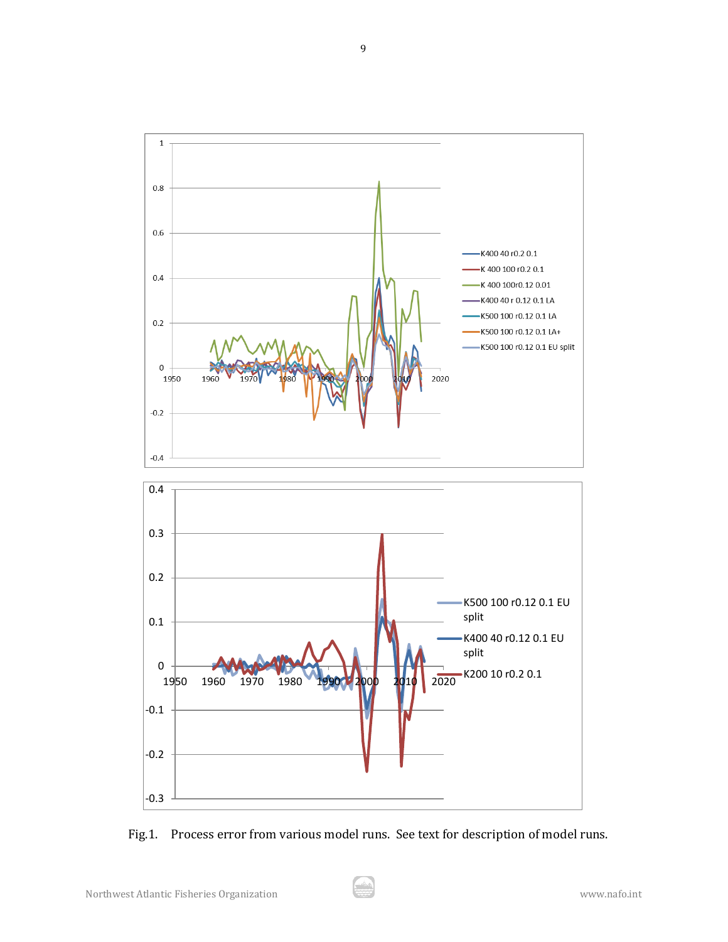

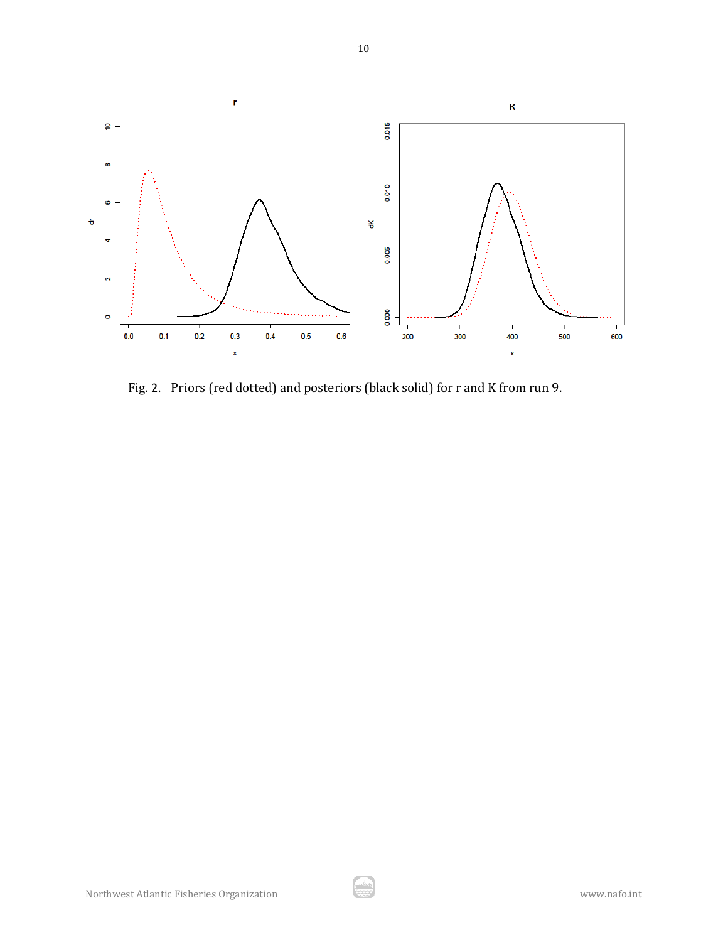

Fig. 2. Priors (red dotted) and posteriors (black solid) for r and K from run 9.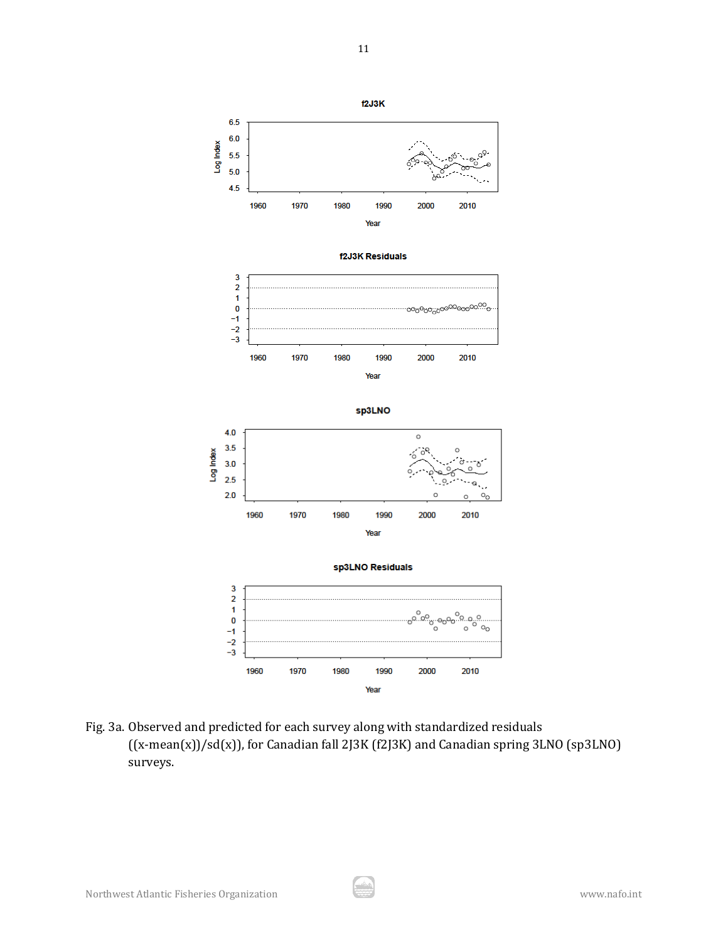

Fig. 3a. Observed and predicted for each survey along with standardized residuals ((x-mean(x))/sd(x)), for Canadian fall 2J3K (f2J3K) and Canadian spring 3LNO (sp3LNO) surveys.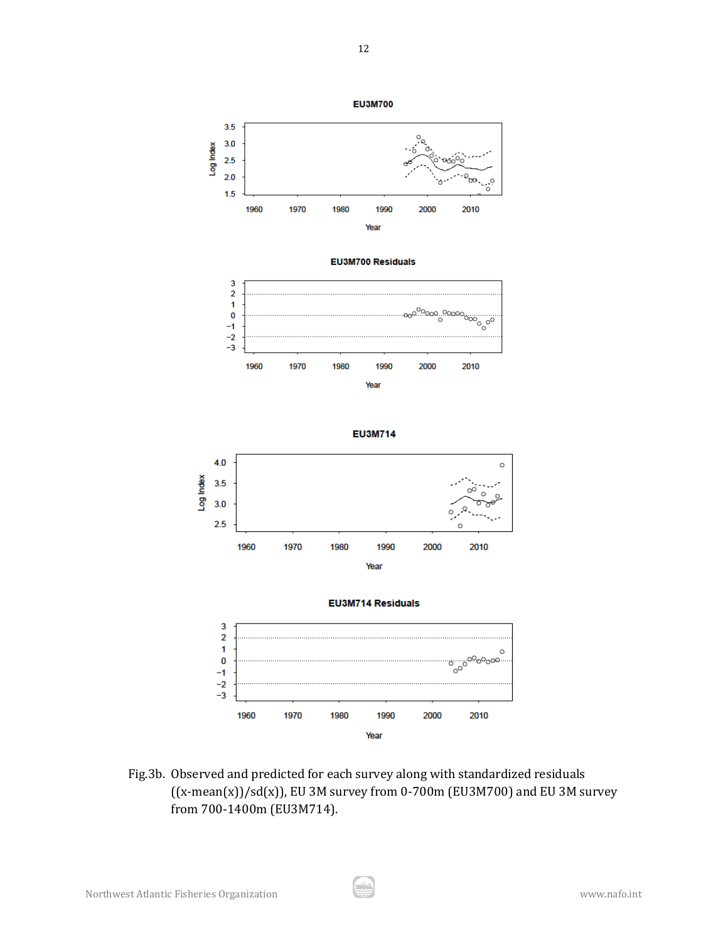

Fig.3b. Observed and predicted for each survey along with standardized residuals  $((x-mean(x))/sd(x))$ , EU 3M survey from 0-700m (EU3M700) and EU 3M survey from 700-1400m (EU3M714).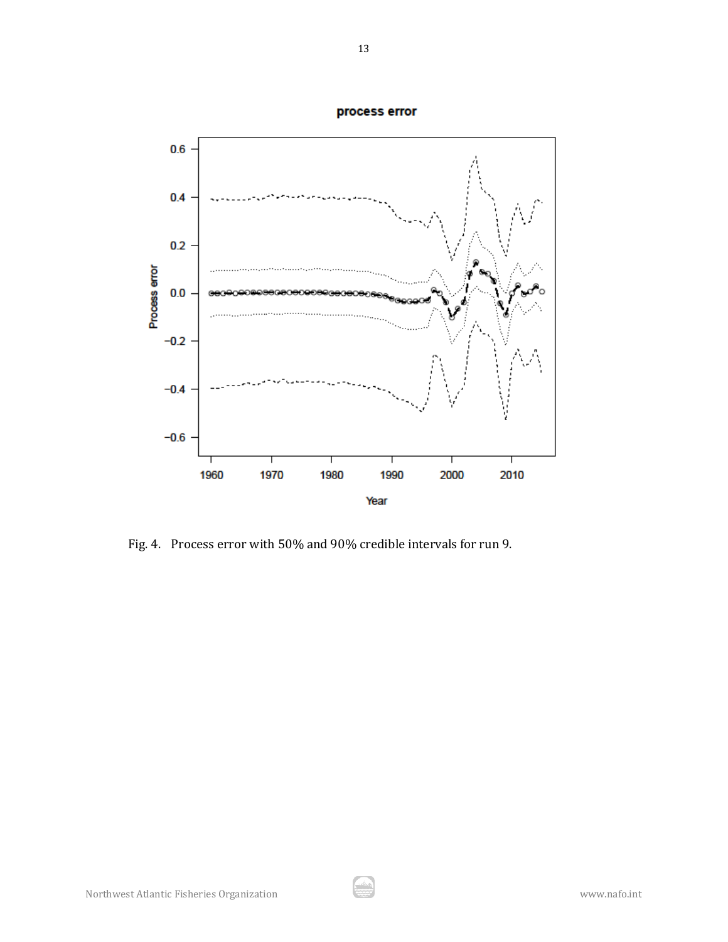

Fig. 4. Process error with 50% and 90% credible intervals for run 9.

process error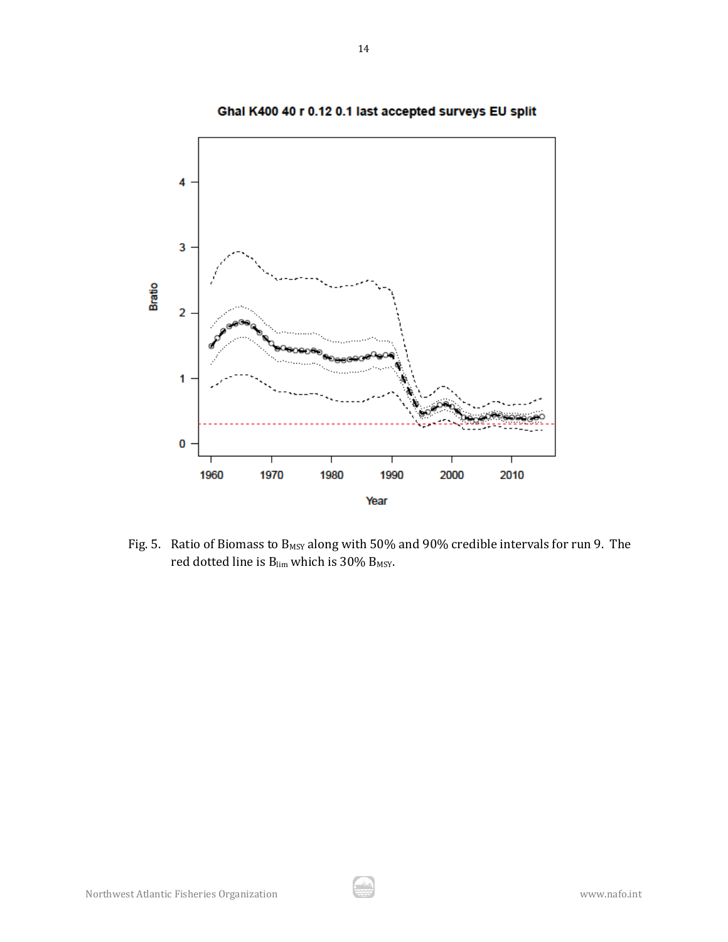

Ghal K400 40 r 0.12 0.1 last accepted surveys EU split

Fig. 5. Ratio of Biomass to  $B_{MSY}$  along with 50% and 90% credible intervals for run 9. The red dotted line is  $B_{lim}$  which is 30%  $B_{MSY}$ .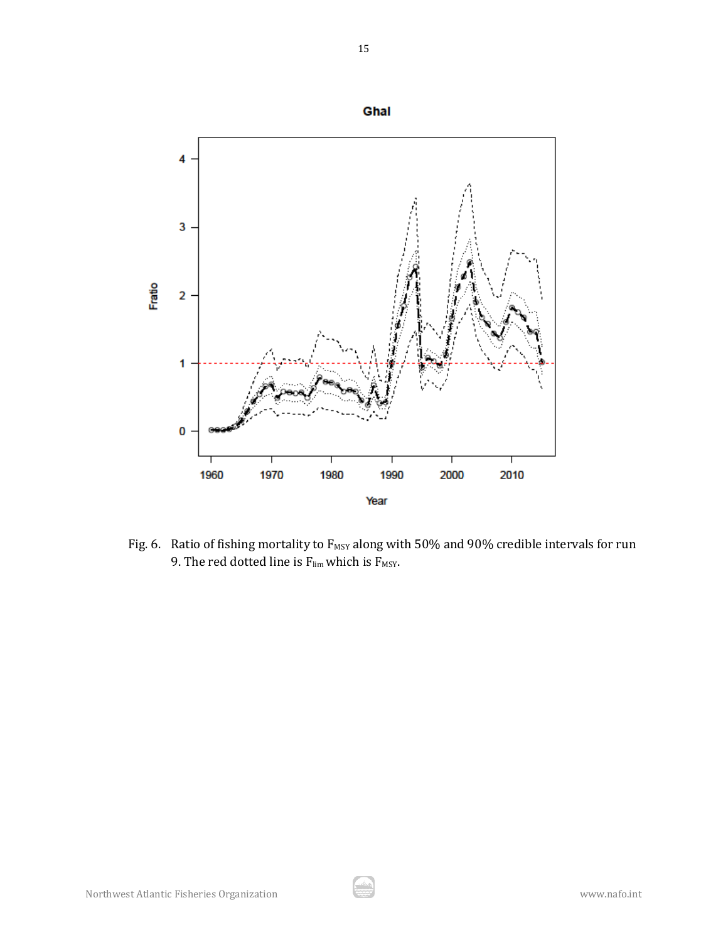

Fig. 6. Ratio of fishing mortality to  $F_{MSY}$  along with 50% and 90% credible intervals for run 9. The red dotted line is  $F_{\text{lim}}$  which is  $F_{\text{MSY}}$ .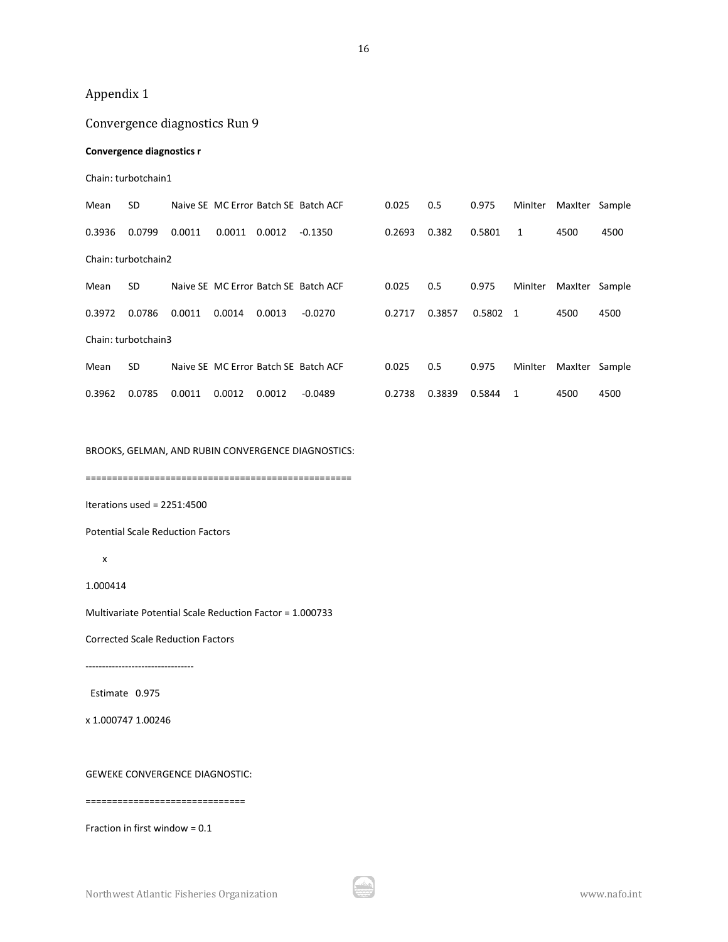# Appendix 1

# Convergence diagnostics Run 9

### **Convergence diagnostics r**

#### Chain: turbotchain1

| Mean   | <b>SD</b>           |        |        |        | Naive SE MC Error Batch SE Batch ACF | 0.025  | 0.5    | 0.975  | MinIter        | Maxiter | Sample |
|--------|---------------------|--------|--------|--------|--------------------------------------|--------|--------|--------|----------------|---------|--------|
| 0.3936 | 0.0799              | 0.0011 | 0.0011 | 0.0012 | $-0.1350$                            | 0.2693 | 0.382  | 0.5801 | 1              | 4500    | 4500   |
|        | Chain: turbotchain2 |        |        |        |                                      |        |        |        |                |         |        |
| Mean   | <b>SD</b>           |        |        |        | Naive SE MC Error Batch SE Batch ACF | 0.025  | 0.5    | 0.975  | MinIter        | MaxIter | Sample |
| 0.3972 | 0.0786              | 0.0011 | 0.0014 | 0.0013 | $-0.0270$                            | 0.2717 | 0.3857 | 0.5802 | $\overline{1}$ | 4500    | 4500   |
|        | Chain: turbotchain3 |        |        |        |                                      |        |        |        |                |         |        |
| Mean   | <b>SD</b>           |        |        |        | Naive SE MC Error Batch SE Batch ACF | 0.025  | 0.5    | 0.975  | MinIter        | MaxIter | Sample |
| 0.3962 | 0.0785              | 0.0011 | 0.0012 | 0.0012 | $-0.0489$                            | 0.2738 | 0.3839 | 0.5844 | 1              | 4500    | 4500   |

BROOKS, GELMAN, AND RUBIN CONVERGENCE DIAGNOSTICS:

==================================================

Iterations used = 2251:4500

Potential Scale Reduction Factors

#### x

1.000414

Multivariate Potential Scale Reduction Factor = 1.000733

Corrected Scale Reduction Factors

---------------------------------

Estimate 0.975

x 1.000747 1.00246

GEWEKE CONVERGENCE DIAGNOSTIC:

==============================

Fraction in first window = 0.1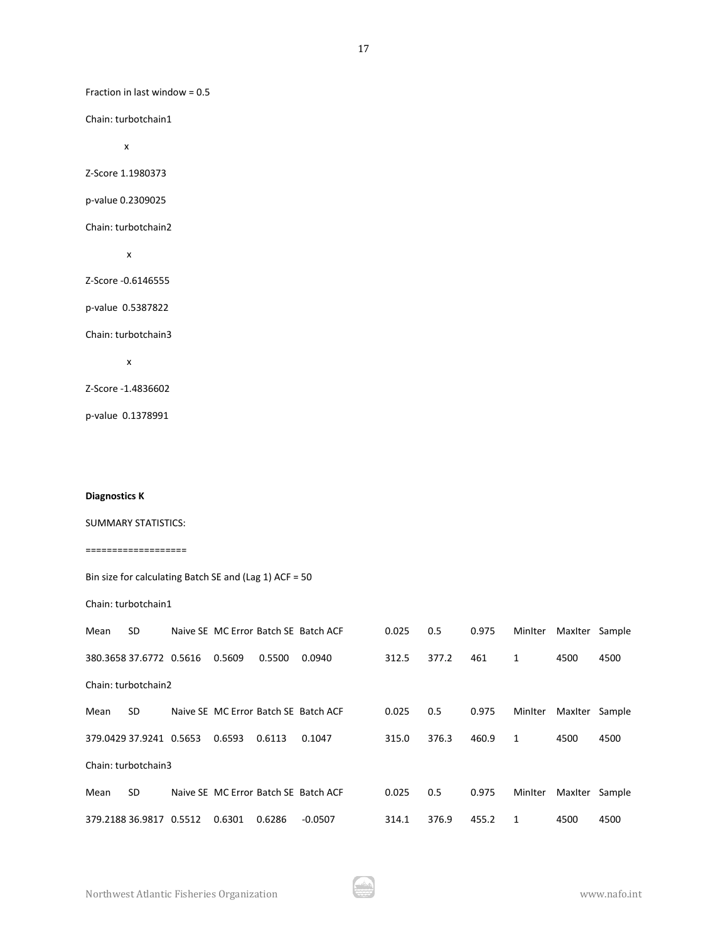Fraction in last window = 0.5

Chain: turbotchain1

x

Z-Score 1.1980373

p-value 0.2309025

Chain: turbotchain2

x

Z-Score -0.6146555

p-value 0.5387822

Chain: turbotchain3

x

Z-Score -1.4836602

p-value 0.1378991

#### **Diagnostics K**

### SUMMARY STATISTICS:

#### ===================

|      |                     | Bin size for calculating Batch SE and (Lag 1) ACF = $50$ |  |
|------|---------------------|----------------------------------------------------------|--|
|      | Chain: turbotchain1 |                                                          |  |
| Magn |                     | Naive SE MC Frror Ratch SE Ratch ACE                     |  |

| Mean | <b>SD</b>               |        |        | Naive SE MC Error Batch SE Batch ACF | 0.025 | 0.5   | 0.975 | MinIter | Maxiter | Sample |
|------|-------------------------|--------|--------|--------------------------------------|-------|-------|-------|---------|---------|--------|
|      | 380.3658 37.6772 0.5616 | 0.5609 | 0.5500 | 0.0940                               | 312.5 | 377.2 | 461   | 1       | 4500    | 4500   |
|      | Chain: turbotchain2     |        |        |                                      |       |       |       |         |         |        |
| Mean | SD.                     |        |        | Naive SE MC Error Batch SE Batch ACF | 0.025 | 0.5   | 0.975 | MinIter | MaxIter | Sample |
|      | 379.0429 37.9241 0.5653 | 0.6593 | 0.6113 | 0.1047                               | 315.0 | 376.3 | 460.9 | 1       | 4500    | 4500   |
|      | Chain: turbotchain3     |        |        |                                      |       |       |       |         |         |        |
| Mean | <b>SD</b>               |        |        | Naive SE MC Error Batch SE Batch ACF | 0.025 | 0.5   | 0.975 | MinIter | MaxIter | Sample |
|      | 379.2188 36.9817 0.5512 | 0.6301 | 0.6286 | $-0.0507$                            | 314.1 | 376.9 | 455.2 | 1       | 4500    | 4500   |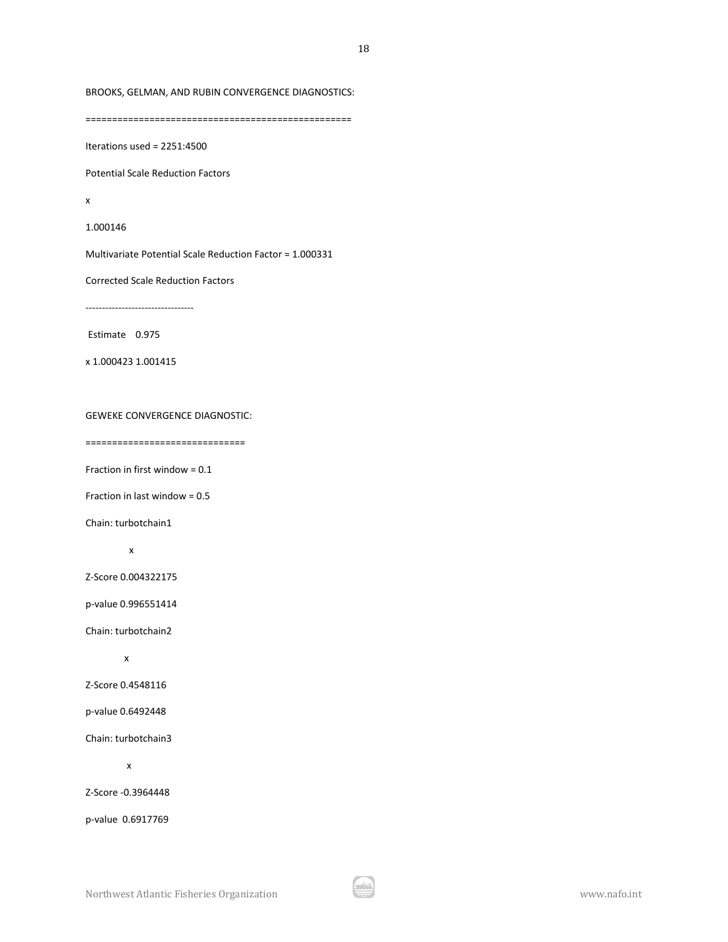BROOKS, GELMAN, AND RUBIN CONVERGENCE DIAGNOSTICS:

==================================================

Iterations used = 2251:4500

Potential Scale Reduction Factors

x

1.000146

Multivariate Potential Scale Reduction Factor = 1.000331

Corrected Scale Reduction Factors

---------------------------------

Estimate 0.975

x 1.000423 1.001415

# GEWEKE CONVERGENCE DIAGNOSTIC:

==============================

Fraction in first window = 0.1

Fraction in last window = 0.5

Chain: turbotchain1

x

Z-Score 0.004322175

p-value 0.996551414

Chain: turbotchain2

x

Z-Score 0.4548116

p-value 0.6492448

Chain: turbotchain3

x

Z-Score -0.3964448

p-value 0.6917769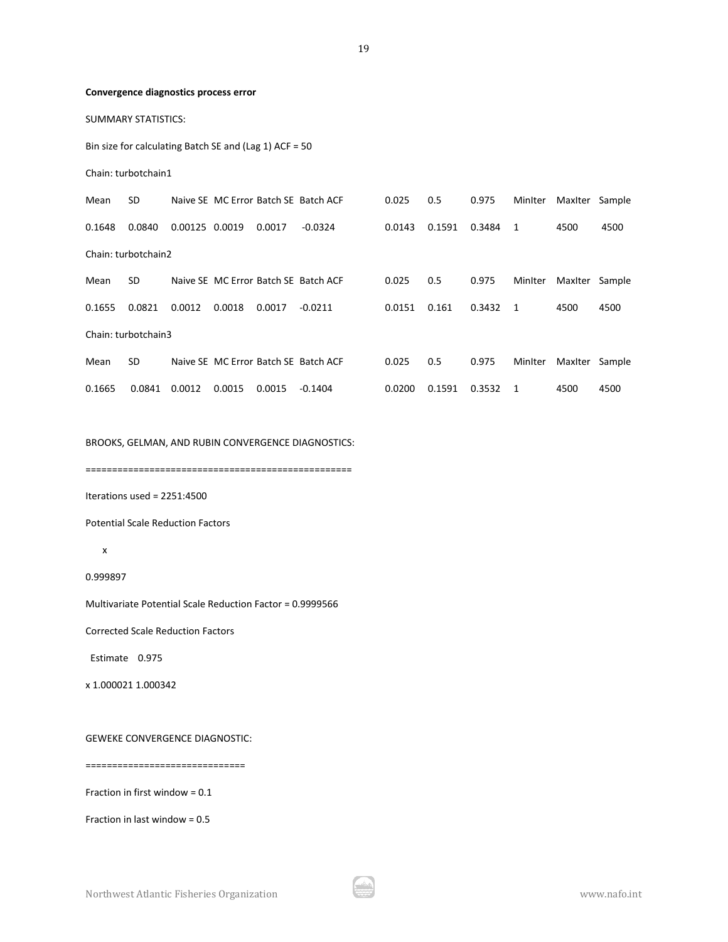#### **Convergence diagnostics process error**

SUMMARY STATISTICS:

Bin size for calculating Batch SE and (Lag 1) ACF = 50

Chain: turbotchain1

| Mean   | <b>SD</b>           |         |        |        | Naive SE MC Error Batch SE Batch ACF | 0.025  | 0.5    | 0.975  | MinIter        | MaxIter | Sample |
|--------|---------------------|---------|--------|--------|--------------------------------------|--------|--------|--------|----------------|---------|--------|
| 0.1648 | 0.0840              | 0.00125 | 0.0019 | 0.0017 | $-0.0324$                            | 0.0143 | 0.1591 | 0.3484 | -1             | 4500    | 4500   |
|        | Chain: turbotchain2 |         |        |        |                                      |        |        |        |                |         |        |
| Mean   | SD.                 |         |        |        | Naive SE MC Error Batch SE Batch ACF | 0.025  | 0.5    | 0.975  | MinIter        | Maxiter | Sample |
| 0.1655 | 0.0821              | 0.0012  | 0.0018 | 0.0017 | $-0.0211$                            | 0.0151 | 0.161  | 0.3432 | $\overline{1}$ | 4500    | 4500   |
|        | Chain: turbotchain3 |         |        |        |                                      |        |        |        |                |         |        |
| Mean   | <b>SD</b>           |         |        |        | Naive SE MC Error Batch SE Batch ACF | 0.025  | 0.5    | 0.975  | MinIter        | MaxIter | Sample |
| 0.1665 | 0.0841              | 0.0012  | 0.0015 | 0.0015 | $-0.1404$                            | 0.0200 | 0.1591 | 0.3532 | 1              | 4500    | 4500   |

BROOKS, GELMAN, AND RUBIN CONVERGENCE DIAGNOSTICS:

==================================================

Iterations used = 2251:4500

Potential Scale Reduction Factors

#### x

0.999897

Multivariate Potential Scale Reduction Factor = 0.9999566

Corrected Scale Reduction Factors

Estimate 0.975

x 1.000021 1.000342

### GEWEKE CONVERGENCE DIAGNOSTIC:

==============================

Fraction in first window = 0.1

Fraction in last window = 0.5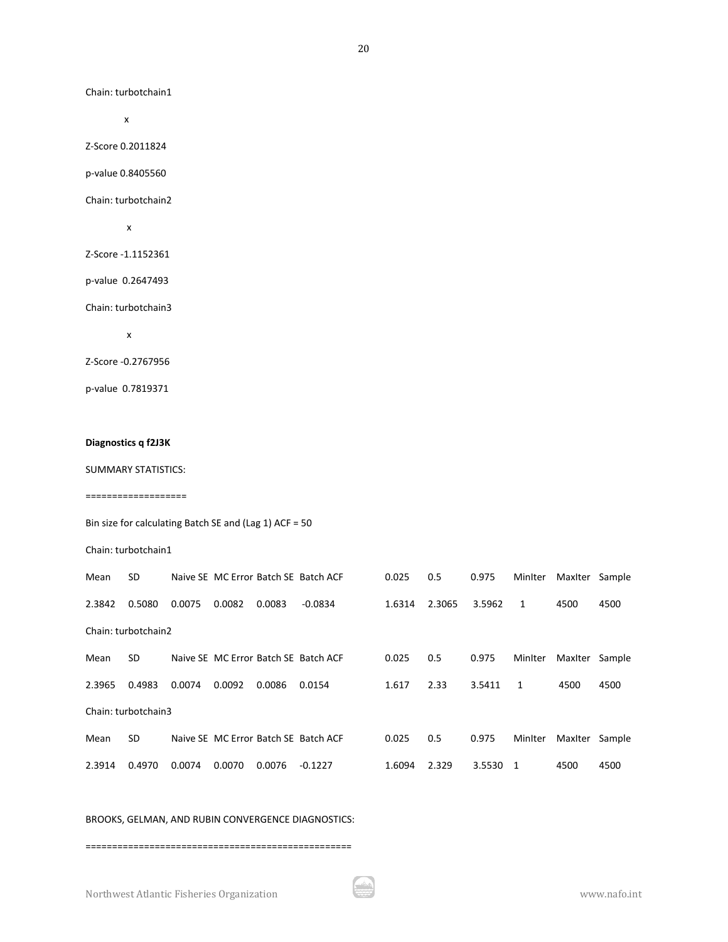Chain: turbotchain1

x

Z-Score 0.2011824

p-value 0.8405560

Chain: turbotchain2

x

Z-Score -1.1152361

p-value 0.2647493

Chain: turbotchain3

x

Z-Score -0.2767956

p-value 0.7819371

#### **Diagnostics q f2J3K**

SUMMARY STATISTICS:

===================

Bin size for calculating Batch SE and (Lag 1) ACF = 50

Chain: turbotchain1

| Mean   | <b>SD</b>           |        |        |        | Naive SE MC Error Batch SE Batch ACF | 0.025  | 0.5    | 0.975  | Minlter | MaxIter | Sample |
|--------|---------------------|--------|--------|--------|--------------------------------------|--------|--------|--------|---------|---------|--------|
| 2.3842 | 0.5080              | 0.0075 | 0.0082 | 0.0083 | $-0.0834$                            | 1.6314 | 2.3065 | 3.5962 | 1       | 4500    | 4500   |
|        | Chain: turbotchain2 |        |        |        |                                      |        |        |        |         |         |        |
| Mean   | <b>SD</b>           |        |        |        | Naive SE MC Error Batch SE Batch ACF | 0.025  | 0.5    | 0.975  | Minlter | MaxIter | Sample |
| 2.3965 | 0.4983              | 0.0074 | 0.0092 | 0.0086 | 0.0154                               | 1.617  | 2.33   | 3.5411 | 1       | 4500    | 4500   |
|        | Chain: turbotchain3 |        |        |        |                                      |        |        |        |         |         |        |
| Mean   | <b>SD</b>           |        |        |        | Naive SE MC Error Batch SE Batch ACF | 0.025  | 0.5    | 0.975  | MinIter | MaxIter | Sample |
| 2.3914 | 0.4970              | 0.0074 | 0.0070 | 0.0076 | $-0.1227$                            | 1.6094 | 2.329  | 3.5530 | -1      | 4500    | 4500   |

#### BROOKS, GELMAN, AND RUBIN CONVERGENCE DIAGNOSTICS:

==================================================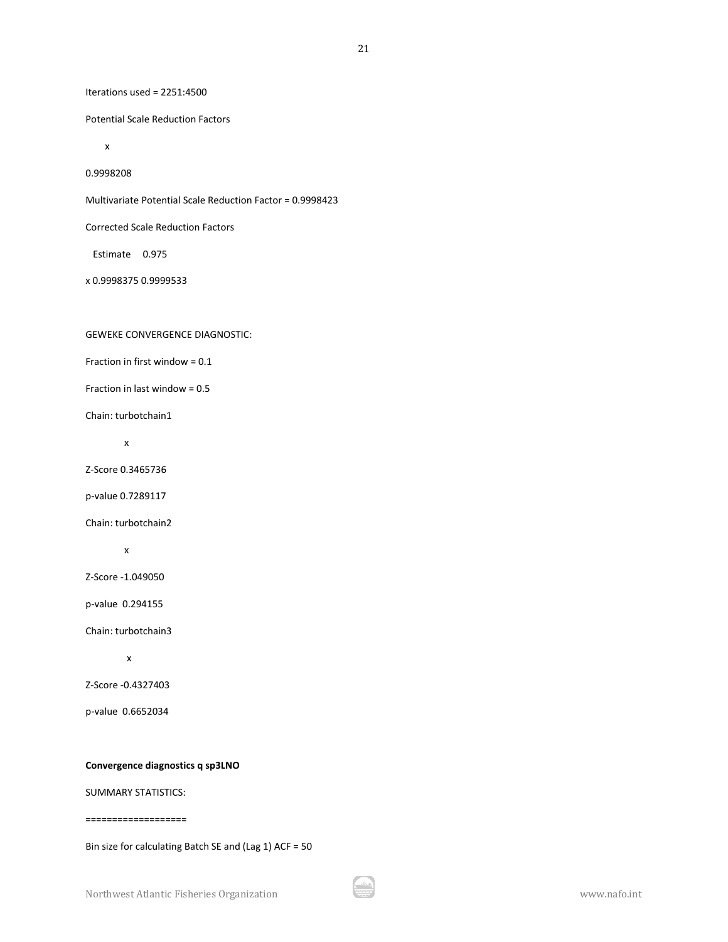Iterations used = 2251:4500

Potential Scale Reduction Factors

x

0.9998208

Multivariate Potential Scale Reduction Factor = 0.9998423

Corrected Scale Reduction Factors

Estimate 0.975

x 0.9998375 0.9999533

### GEWEKE CONVERGENCE DIAGNOSTIC:

Fraction in first window = 0.1

Fraction in last window = 0.5

Chain: turbotchain1

x

Z-Score 0.3465736

p-value 0.7289117

Chain: turbotchain2

x

Z-Score -1.049050

p-value 0.294155

Chain: turbotchain3

x

Z-Score -0.4327403

p-value 0.6652034

#### **Convergence diagnostics q sp3LNO**

SUMMARY STATISTICS:

===================

Bin size for calculating Batch SE and (Lag 1) ACF = 50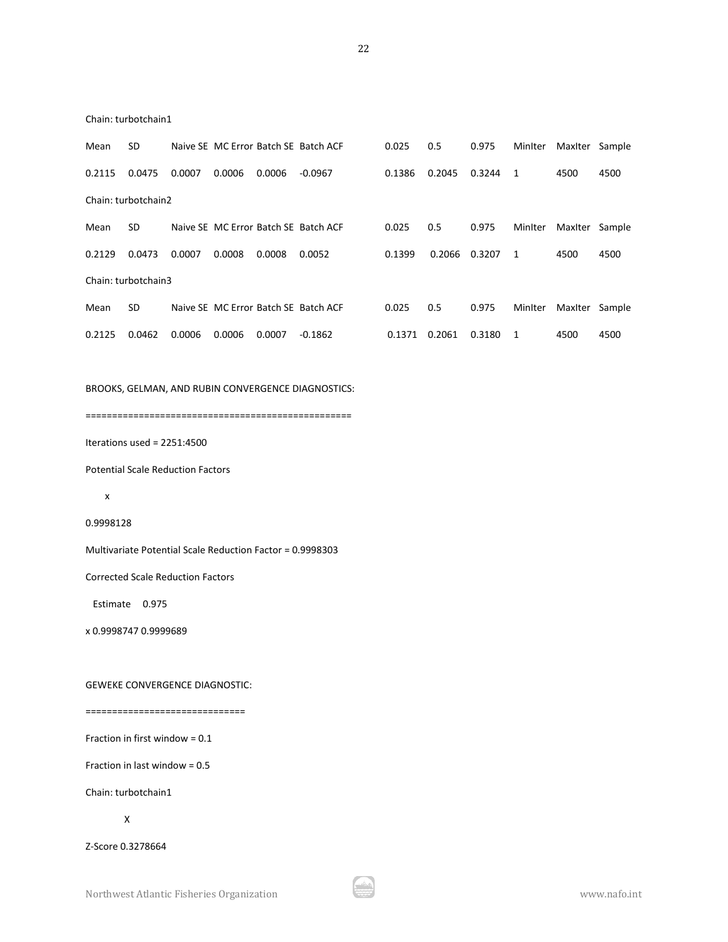22

| Mean            | SD. |  |        | Naive SE MC Error Batch SE Batch ACF | 0.025 | 0.5                       | 0.975 | Miniter Maxiter Sample |      |
|-----------------|-----|--|--------|--------------------------------------|-------|---------------------------|-------|------------------------|------|
| 0.2115   0.0475 |     |  | 0.0006 | -0.0967                              |       | 0.1386  0.2045  0.3244  1 |       | 4500                   | 4500 |

Chain: turbotchain1

|        | Chain: turbotchain2 |        |        |        |                                      |        |        |        |                |                |        |
|--------|---------------------|--------|--------|--------|--------------------------------------|--------|--------|--------|----------------|----------------|--------|
| Mean   | <b>SD</b>           |        |        |        | Naive SE MC Error Batch SE Batch ACF | 0.025  | 0.5    | 0.975  | MinIter        | Maxiter        | Sample |
| 0.2129 | 0.0473              | 0.0007 | 0.0008 | 0.0008 | 0.0052                               | 0.1399 | 0.2066 | 0.3207 | $\overline{1}$ | 4500           | 4500   |
|        | Chain: turbotchain3 |        |        |        |                                      |        |        |        |                |                |        |
| Mean   | <b>SD</b>           |        |        |        | Naive SE MC Error Batch SE Batch ACF | 0.025  | 0.5    | 0.975  | MinIter        | Maxiter Sample |        |
| 0.2125 | 0.0462              | 0.0006 | 0.0006 | 0.0007 | $-0.1862$                            | 0.1371 | 0.2061 | 0.3180 |                | 4500           | 4500   |

BROOKS, GELMAN, AND RUBIN CONVERGENCE DIAGNOSTICS:

==================================================

Iterations used = 2251:4500

Potential Scale Reduction Factors

```
 x
```
0.9998128

Multivariate Potential Scale Reduction Factor = 0.9998303

Corrected Scale Reduction Factors

Estimate 0.975

x 0.9998747 0.9999689

GEWEKE CONVERGENCE DIAGNOSTIC:

#### ==============================

Fraction in first window = 0.1

Fraction in last window = 0.5

Chain: turbotchain1

X

Z-Score 0.3278664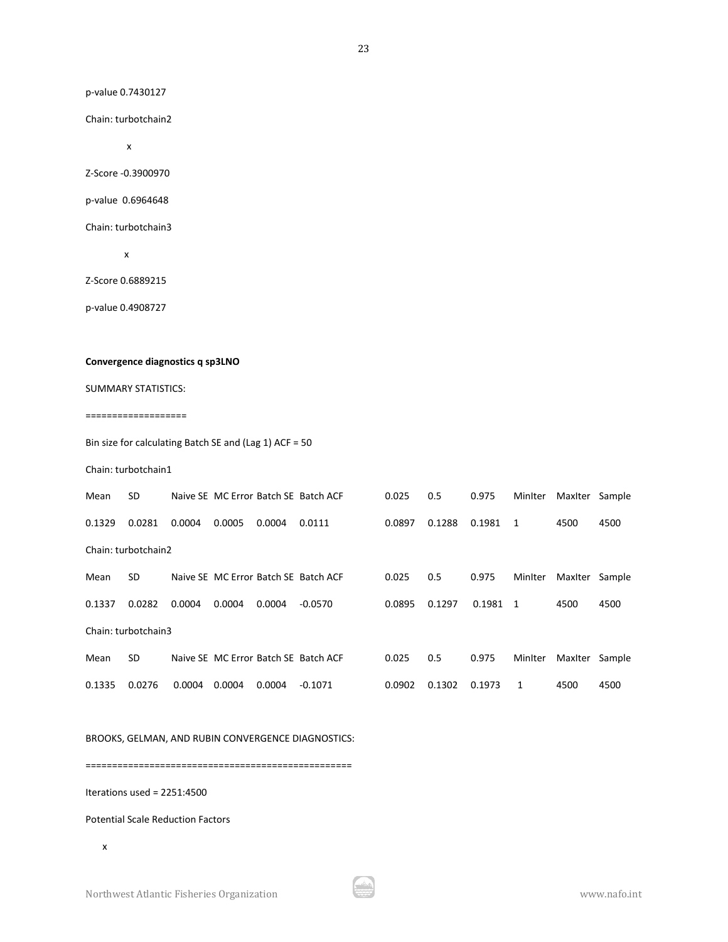p-value 0.7430127

Chain: turbotchain2

x

Z-Score -0.3900970

p-value 0.6964648

Chain: turbotchain3

x

Z-Score 0.6889215

p-value 0.4908727

### **Convergence diagnostics q sp3LNO**

SUMMARY STATISTICS:

#### ===================

Bin size for calculating Batch SE and (Lag 1) ACF = 50

Chain: turbotchain1

| Mean   | <b>SD</b>           |        |        |        | Naive SE MC Error Batch SE Batch ACF | 0.025  | 0.5    | 0.975  | MinIter | Maxiter | Sample |
|--------|---------------------|--------|--------|--------|--------------------------------------|--------|--------|--------|---------|---------|--------|
| 0.1329 | 0.0281              | 0.0004 | 0.0005 | 0.0004 | 0.0111                               | 0.0897 | 0.1288 | 0.1981 | -1      | 4500    | 4500   |
|        | Chain: turbotchain2 |        |        |        |                                      |        |        |        |         |         |        |
| Mean   | <b>SD</b>           |        |        |        | Naive SE MC Error Batch SE Batch ACF | 0.025  | 0.5    | 0.975  | Minlter | MaxIter | Sample |
| 0.1337 | 0.0282              | 0.0004 | 0.0004 | 0.0004 | $-0.0570$                            | 0.0895 | 0.1297 | 0.1981 | - 1     | 4500    | 4500   |
|        | Chain: turbotchain3 |        |        |        |                                      |        |        |        |         |         |        |
| Mean   | <b>SD</b>           |        |        |        | Naive SE MC Error Batch SE Batch ACF | 0.025  | 0.5    | 0.975  | Minlter | MaxIter | Sample |
| 0.1335 | 0.0276              | 0.0004 | 0.0004 | 0.0004 | $-0.1071$                            | 0.0902 | 0.1302 | 0.1973 | 1       | 4500    | 4500   |

BROOKS, GELMAN, AND RUBIN CONVERGENCE DIAGNOSTICS:

==================================================

Iterations used = 2251:4500

Potential Scale Reduction Factors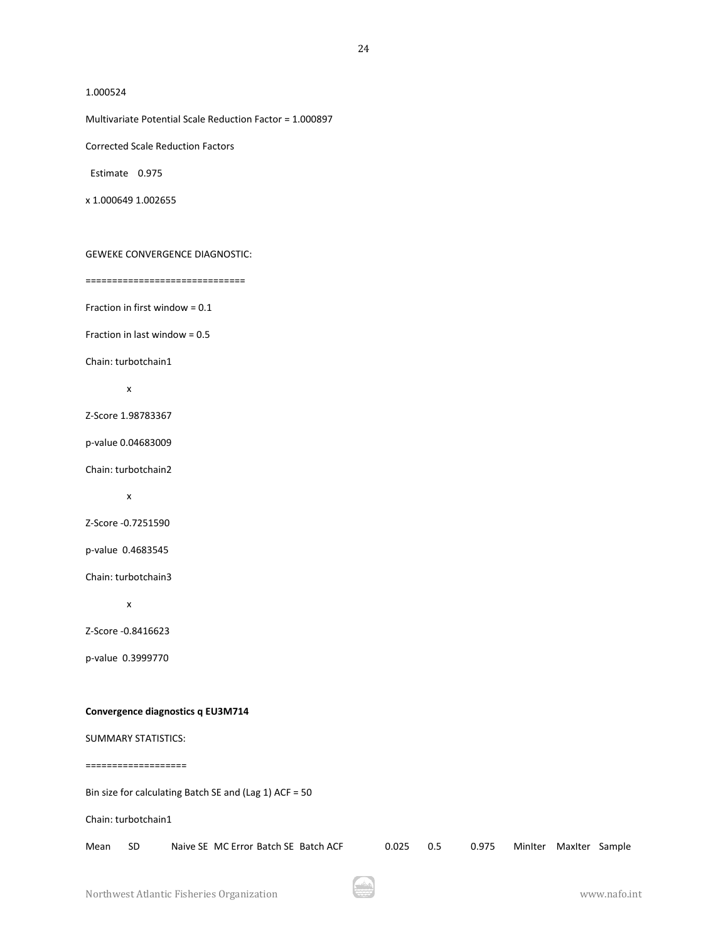#### 1.000524

Multivariate Potential Scale Reduction Factor = 1.000897

Corrected Scale Reduction Factors

Estimate 0.975

x 1.000649 1.002655

GEWEKE CONVERGENCE DIAGNOSTIC:

==============================

Fraction in first window = 0.1

Fraction in last window = 0.5

Chain: turbotchain1

x

Z-Score 1.98783367

p-value 0.04683009

Chain: turbotchain2

x

Z-Score -0.7251590

p-value 0.4683545

Chain: turbotchain3

x

Z-Score -0.8416623

p-value 0.3999770

#### **Convergence diagnostics q EU3M714**

#### SUMMARY STATISTICS:

===================

Bin size for calculating Batch SE and (Lag 1) ACF = 50

Chain: turbotchain1

| Mean SD | Naive SE MC Error Batch SE Batch ACF |  | 0.025 0.5 0.975 MinIter MaxIter Sample |  |  |
|---------|--------------------------------------|--|----------------------------------------|--|--|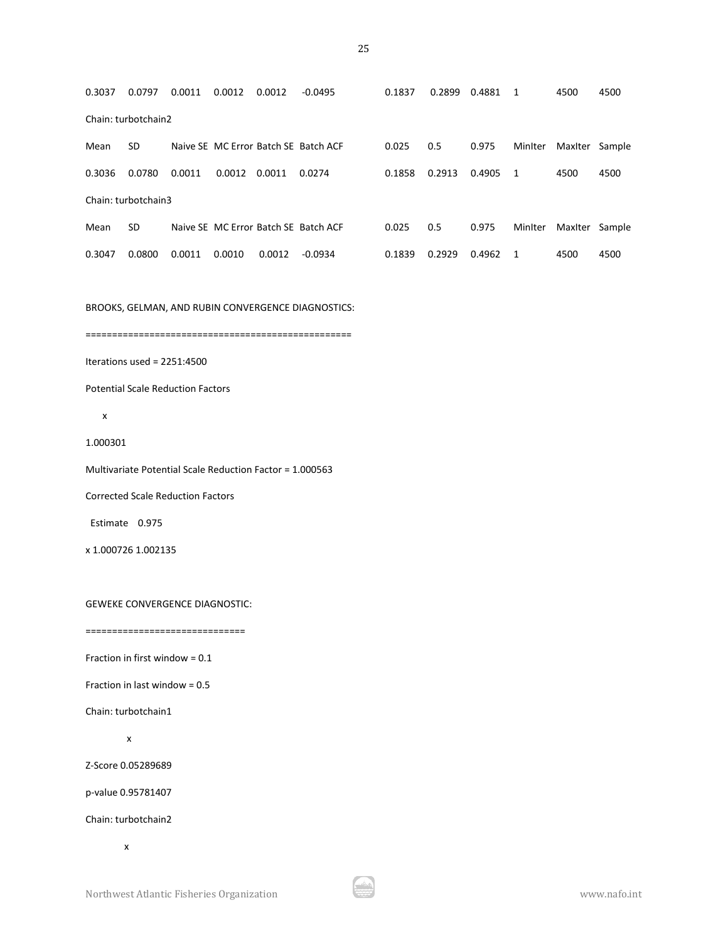0.3037 0.0797 0.0011 0.0012 0.0012 -0.0495 0.1837 0.2899 0.4881 1 4500 4500 Chain: turbotchain2 Mean SD Naive SE MC Error Batch SE Batch ACF 0.025 0.5 0.975 MinIter MaxIter Sample 0.3036 0.0780 0.0011 0.0012 0.0011 0.0274 0.1858 0.2913 0.4905 1 4500 4500 Chain: turbotchain3 Mean SD Naive SE MC Error Batch SE Batch ACF 0.025 0.5 0.975 MinIter MaxIter Sample 0.3047 0.0800 0.0011 0.0010 0.0012 -0.0934 0.1839 0.2929 0.4962 1 4500 4500

BROOKS, GELMAN, AND RUBIN CONVERGENCE DIAGNOSTICS:

==================================================

Iterations used = 2251:4500

Potential Scale Reduction Factors

x

1.000301

Multivariate Potential Scale Reduction Factor = 1.000563

Corrected Scale Reduction Factors

Estimate 0.975

x 1.000726 1.002135

GEWEKE CONVERGENCE DIAGNOSTIC:

==============================

Fraction in first window  $= 0.1$ 

Fraction in last window = 0.5

Chain: turbotchain1

x

Z-Score 0.05289689

p-value 0.95781407

Chain: turbotchain2

x